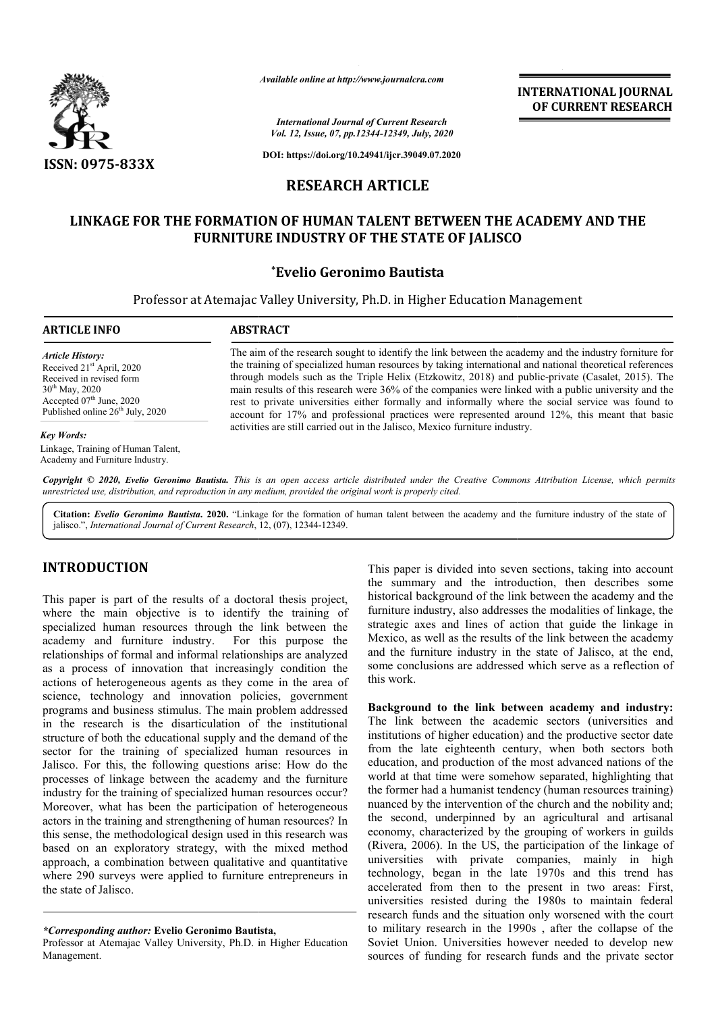

*Available online at http://www.journalcra.com*

*International Journal of Current Research Vol. 12, Issue, 07, pp.12344-12349, July, 2020* **INTERNATIONAL JOURNAL OF CURRENT RESEARCH**

**DOI: https://doi.org/10.24941/ijcr.39049.07.2020**

# **RESEARCH ARTICLE**

# **LINKAGE FOR THE FORMATION OF HUMAN TALENT BETWEEN THE ACADEMY AND THE FURNITURE INDUSTRY OF THE STATE OF JALISCO OF HUMAN TALENT BETWEEN FURNITURE INDUSTRY THE STATE**

## **\*Evelio Geronimo Bautista**

Professor at Atemajac Valley University, Ph.D. in Higher Education Management

#### **ARTICLE INFO ABSTRACT**

*Article History:* Received 21<sup>st</sup> April, 2020 Received in revised form 30<sup>th</sup> May, 2020 Accepted 07<sup>th</sup> June, 2020 Published online 26<sup>th</sup> July, 2020

#### *Key Words:*

Linkage, Training of Human Talent, Academy and Furniture Industry.

The aim of the research sought to identify the link between the academy and the industry forniture for the training of specialized human resources by taking international and national theoretical references through models such as the Triple Helix (Etzkowitz, 2018) and public main results of this research were 36% of the companies were linked with a public university and the rest to private universities either formally and informally where the social service was found to account for 17% and professional practices were represented around 12%, this meant that basic activities are still carried out in the Jalisco, Mexico furniture industry. The aim of the research sought to identify the link between the academy and the industry forniture for the training of specialized human resources by taking international and national theoretical references through models main results of this research were 36% of the companies were linked with a public university and the rest to private universities either formally and informally where the social service was found to account for 17% and pro

Copyright © 2020, Evelio Geronimo Bautista. This is an open access article distributed under the Creative Commons Attribution License, which permits *unrestricted use, distribution, and reproduction in any medium, provided the original work is properly cited.*

Citation: Evelio Geronimo Bautista. 2020. "Linkage for the formation of human talent between the academy and the furniture industry of the state of jalisco.", *International Journal of Current Research*, 12, (07), 12344-12349.

# **INTRODUCTION**

This paper is part of the results of a doctoral thesis project, where the main objective is to identify the training of specialized human resources through the link between the academy and furniture industry. For this purpose the relationships of formal and informal relationships are analyzed as a process of innovation that increasingly condition the actions of heterogeneous agents as they come in the area of science, technology and innovation policies, government programs and business stimulus. The main problem addressed in the research is the disarticulation of the institutional structure of both the educational supply and the demand of the sector for the training of specialized human resources in Jalisco. For this, the following questions arise: How do the processes of linkage between the academy and the furniture industry for the training of specialized human resources occur? Moreover, what has been the participation of heterogeneous actors in the training and strengthening of human resources? In this sense, the methodological design used in this research was based on an exploratory strategy, with the mixed method approach, a combination between qualitative and quantitative where 290 surveys were applied to furniture entrepreneurs in the state of Jalisco. **SUCTION**<br>This paper is divided into seven sections, taking into account<br>the simular term dark the simular paper different that increases the mediation<br>of the interaction of the interaction, then describes some<br>main object

Professor at Atemajac Valley University, Ph.D. in Higher Education Management.

the summary and the introduction, then describes some historical background of the link between the academy and the furniture industry, also addresses the modalities of linkage, the strategic axes and lines of action that guide the linkage in Mexico, as well as the results of the link between the academy and the furniture industry in the state of Jalisco, at the end, some conclusions are addressed which serve as a reflection of this work. This paper is divided into seven sections, taking into account<br>the summary and the introduction, then describes some<br>historical background of the link between the academy and the<br>furniture industry, also addresses the moda

Background to the link between academy and industry: The link between the academic sectors (universities and institutions of higher education) and the productive sector date from the late eighteenth century, when both sectors both education, and production of the most advanced nations of the world at that time were somehow separated, highlighting that the former had a humanist tendency (human resources nuanced by the intervention of the church and the nobility and; the second, underpinned by an agricultural and artisanal economy, characterized by the grouping of workers in guilds (Rivera, 2006). In the US, the participation of the linkage of universities with private companies, mainly in high technology, began in the late 1970s and this trend has accelerated from then to the present in two areas: First, universities resisted during the 1980s to maintain federal research funds and the situation only worsened with the court to military research in the 1990s , after the collapse of the Soviet Union. Universities however needed to develop new sources of funding for research funds and the private sector In the late eighteenth century, when both sectors both cation, and production of the most advanced nations of the ld at that time were somehow separated, highlighting that former had a humanist tendency (human resources tr nuanced by the intervention of the church and the nobility and;<br>the second, underpinned by an agricultural and artisanal<br>economy, characterized by the grouping of workers in guilds<br>(Rivera, 2006). In the US, the participat INTERNATIONAL JOURNAL<br>
1977-1984, After<br>
1977-1984, After<br>
1977-1984, After<br>
1977-1984, After<br>
2078 (Fig. 2020)<br>
271(LLE<br>
ENT BETWEEN THE ACADEMY AND THE<br>
HE STATE OF JALISCO<br>
1987 BETWEEN THE ACADEMY AND THE<br>
HE STATE OF

*<sup>\*</sup>Corresponding author:* **Evelio Geronimo Bautista,**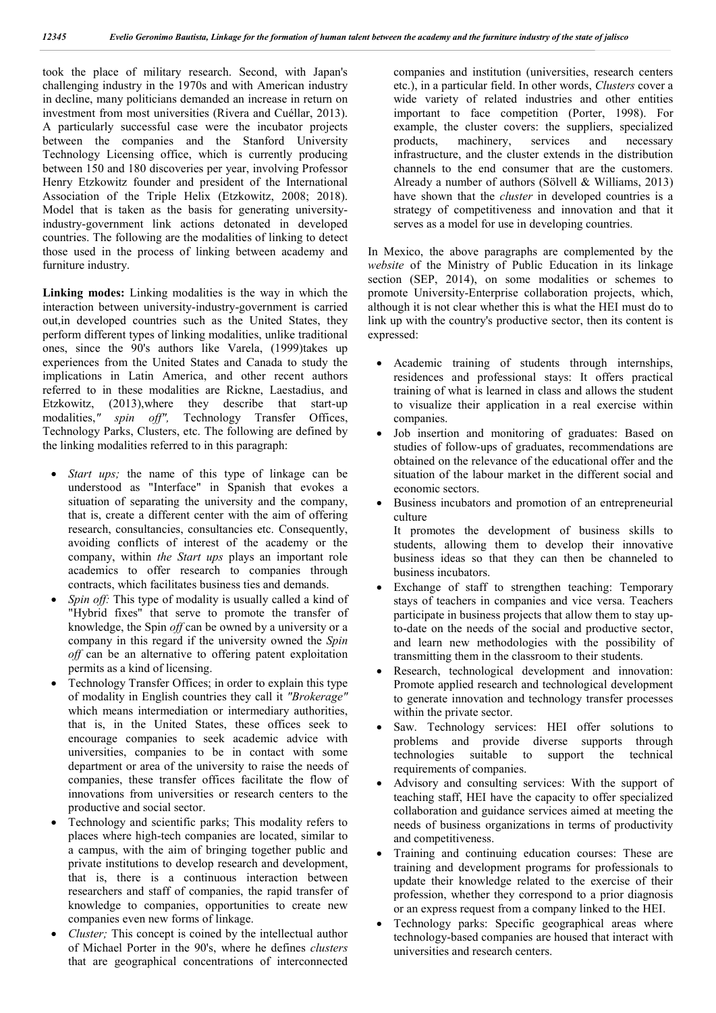took the place of military research. Second, with Japan's challenging industry in the 1970s and with American industry in decline, many politicians demanded an increase in return on investment from most universities (Rivera and Cuéllar, 2013). A particularly successful case were the incubator projects between the companies and the Stanford University Technology Licensing office, which is currently producing between 150 and 180 discoveries per year, involving Professor Henry Etzkowitz founder and president of the International Association of the Triple Helix (Etzkowitz, 2008; 2018). Model that is taken as the basis for generating universityindustry-government link actions detonated in developed countries. The following are the modalities of linking to detect those used in the process of linking between academy and furniture industry.

**Linking modes:** Linking modalities is the way in which the interaction between university-industry-government is carried out,in developed countries such as the United States, they perform different types of linking modalities, unlike traditional ones, since the 90's authors like Varela, (1999)takes up experiences from the United States and Canada to study the implications in Latin America, and other recent authors referred to in these modalities are Rickne, Laestadius, and Etzkowitz, (2013),where they describe that start-up modalities,*" spin off",* Technology Transfer Offices, Technology Parks, Clusters, etc. The following are defined by the linking modalities referred to in this paragraph:

- *Start ups;* the name of this type of linkage can be understood as "Interface" in Spanish that evokes a situation of separating the university and the company, that is, create a different center with the aim of offering research, consultancies, consultancies etc. Consequently, avoiding conflicts of interest of the academy or the company, within *the Start ups* plays an important role academics to offer research to companies through contracts, which facilitates business ties and demands.
- *Spin off:* This type of modality is usually called a kind of "Hybrid fixes" that serve to promote the transfer of knowledge, the Spin *off* can be owned by a university or a company in this regard if the university owned the *Spin off* can be an alternative to offering patent exploitation permits as a kind of licensing.
- Technology Transfer Offices; in order to explain this type of modality in English countries they call it *"Brokerage"* which means intermediation or intermediary authorities, that is, in the United States, these offices seek to encourage companies to seek academic advice with universities, companies to be in contact with some department or area of the university to raise the needs of companies, these transfer offices facilitate the flow of innovations from universities or research centers to the productive and social sector.
- Technology and scientific parks; This modality refers to places where high-tech companies are located, similar to a campus, with the aim of bringing together public and private institutions to develop research and development, that is, there is a continuous interaction between researchers and staff of companies, the rapid transfer of knowledge to companies, opportunities to create new companies even new forms of linkage.
- *Cluster;* This concept is coined by the intellectual author of Michael Porter in the 90's, where he defines *clusters* that are geographical concentrations of interconnected

companies and institution (universities, research centers etc.), in a particular field. In other words, *Clusters* cover a wide variety of related industries and other entities important to face competition (Porter, 1998). For example, the cluster covers: the suppliers, specialized products, machinery, services and necessary infrastructure, and the cluster extends in the distribution channels to the end consumer that are the customers. Already a number of authors (Sölvell & Williams, 2013) have shown that the *cluster* in developed countries is a strategy of competitiveness and innovation and that it serves as a model for use in developing countries.

In Mexico, the above paragraphs are complemented by the *website* of the Ministry of Public Education in its linkage section (SEP, 2014), on some modalities or schemes to promote University-Enterprise collaboration projects, which, although it is not clear whether this is what the HEI must do to link up with the country's productive sector, then its content is expressed:

- Academic training of students through internships, residences and professional stays: It offers practical training of what is learned in class and allows the student to visualize their application in a real exercise within companies.
- Job insertion and monitoring of graduates: Based on studies of follow-ups of graduates, recommendations are obtained on the relevance of the educational offer and the situation of the labour market in the different social and economic sectors.
- Business incubators and promotion of an entrepreneurial culture

It promotes the development of business skills to students, allowing them to develop their innovative business ideas so that they can then be channeled to business incubators.

- Exchange of staff to strengthen teaching: Temporary stays of teachers in companies and vice versa. Teachers participate in business projects that allow them to stay upto-date on the needs of the social and productive sector, and learn new methodologies with the possibility of transmitting them in the classroom to their students.
- Research, technological development and innovation: Promote applied research and technological development to generate innovation and technology transfer processes within the private sector.
- Saw. Technology services: HEI offer solutions to problems and provide diverse supports through technologies suitable to support the technical requirements of companies.
- Advisory and consulting services: With the support of teaching staff, HEI have the capacity to offer specialized collaboration and guidance services aimed at meeting the needs of business organizations in terms of productivity and competitiveness.
- Training and continuing education courses: These are training and development programs for professionals to update their knowledge related to the exercise of their profession, whether they correspond to a prior diagnosis or an express request from a company linked to the HEI.
- Technology parks: Specific geographical areas where technology-based companies are housed that interact with universities and research centers.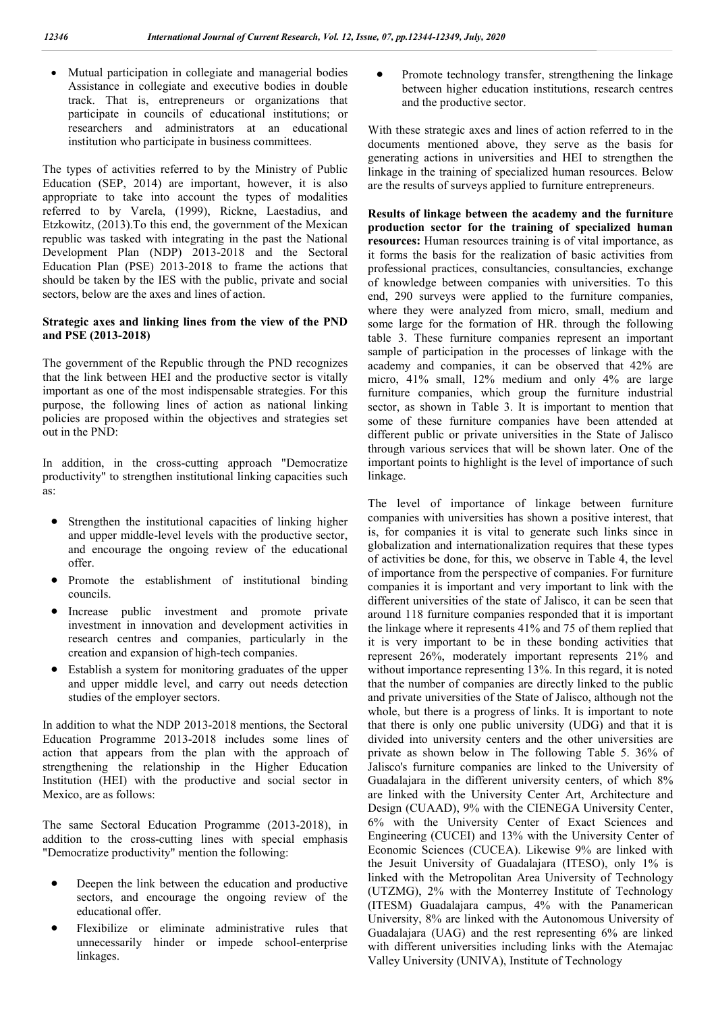Mutual participation in collegiate and managerial bodies Assistance in collegiate and executive bodies in double track. That is, entrepreneurs or organizations that participate in councils of educational institutions; or researchers and administrators at an educational institution who participate in business committees.

The types of activities referred to by the Ministry of Public Education (SEP, 2014) are important, however, it is also appropriate to take into account the types of modalities referred to by Varela, (1999), Rickne, Laestadius, and Etzkowitz, (2013).To this end, the government of the Mexican republic was tasked with integrating in the past the National Development Plan (NDP) 2013-2018 and the Sectoral Education Plan (PSE) 2013-2018 to frame the actions that should be taken by the IES with the public, private and social sectors, below are the axes and lines of action.

## **Strategic axes and linking lines from the view of the PND and PSE (2013-2018)**

The government of the Republic through the PND recognizes that the link between HEI and the productive sector is vitally important as one of the most indispensable strategies. For this purpose, the following lines of action as national linking policies are proposed within the objectives and strategies set out in the PND:

In addition, in the cross-cutting approach "Democratize productivity" to strengthen institutional linking capacities such as:

- Strengthen the institutional capacities of linking higher and upper middle-level levels with the productive sector, and encourage the ongoing review of the educational offer.
- Promote the establishment of institutional binding councils.
- Increase public investment and promote private investment in innovation and development activities in research centres and companies, particularly in the creation and expansion of high-tech companies.
- Establish a system for monitoring graduates of the upper and upper middle level, and carry out needs detection studies of the employer sectors.

In addition to what the NDP 2013-2018 mentions, the Sectoral Education Programme 2013-2018 includes some lines of action that appears from the plan with the approach of strengthening the relationship in the Higher Education Institution (HEI) with the productive and social sector in Mexico, are as follows:

The same Sectoral Education Programme (2013-2018), in addition to the cross-cutting lines with special emphasis "Democratize productivity" mention the following:

- Deepen the link between the education and productive sectors, and encourage the ongoing review of the educational offer.
- Flexibilize or eliminate administrative rules that unnecessarily hinder or impede school-enterprise linkages.

• Promote technology transfer, strengthening the linkage between higher education institutions, research centres and the productive sector.

With these strategic axes and lines of action referred to in the documents mentioned above, they serve as the basis for generating actions in universities and HEI to strengthen the linkage in the training of specialized human resources. Below are the results of surveys applied to furniture entrepreneurs.

**Results of linkage between the academy and the furniture production sector for the training of specialized human resources:** Human resources training is of vital importance, as it forms the basis for the realization of basic activities from professional practices, consultancies, consultancies, exchange of knowledge between companies with universities. To this end, 290 surveys were applied to the furniture companies, where they were analyzed from micro, small, medium and some large for the formation of HR. through the following table 3. These furniture companies represent an important sample of participation in the processes of linkage with the academy and companies, it can be observed that 42% are micro, 41% small, 12% medium and only 4% are large furniture companies, which group the furniture industrial sector, as shown in Table 3. It is important to mention that some of these furniture companies have been attended at different public or private universities in the State of Jalisco through various services that will be shown later. One of the important points to highlight is the level of importance of such linkage.

The level of importance of linkage between furniture companies with universities has shown a positive interest, that is, for companies it is vital to generate such links since in globalization and internationalization requires that these types of activities be done, for this, we observe in Table 4, the level of importance from the perspective of companies. For furniture companies it is important and very important to link with the different universities of the state of Jalisco, it can be seen that around 118 furniture companies responded that it is important the linkage where it represents 41% and 75 of them replied that it is very important to be in these bonding activities that represent 26%, moderately important represents 21% and without importance representing 13%. In this regard, it is noted that the number of companies are directly linked to the public and private universities of the State of Jalisco, although not the whole, but there is a progress of links. It is important to note that there is only one public university (UDG) and that it is divided into university centers and the other universities are private as shown below in The following Table 5. 36% of Jalisco's furniture companies are linked to the University of Guadalajara in the different university centers, of which 8% are linked with the University Center Art, Architecture and Design (CUAAD), 9% with the CIENEGA University Center, 6% with the University Center of Exact Sciences and Engineering (CUCEI) and 13% with the University Center of Economic Sciences (CUCEA). Likewise 9% are linked with the Jesuit University of Guadalajara (ITESO), only 1% is linked with the Metropolitan Area University of Technology (UTZMG), 2% with the Monterrey Institute of Technology (ITESM) Guadalajara campus, 4% with the Panamerican University, 8% are linked with the Autonomous University of Guadalajara (UAG) and the rest representing 6% are linked with different universities including links with the Atemajac Valley University (UNIVA), Institute of Technology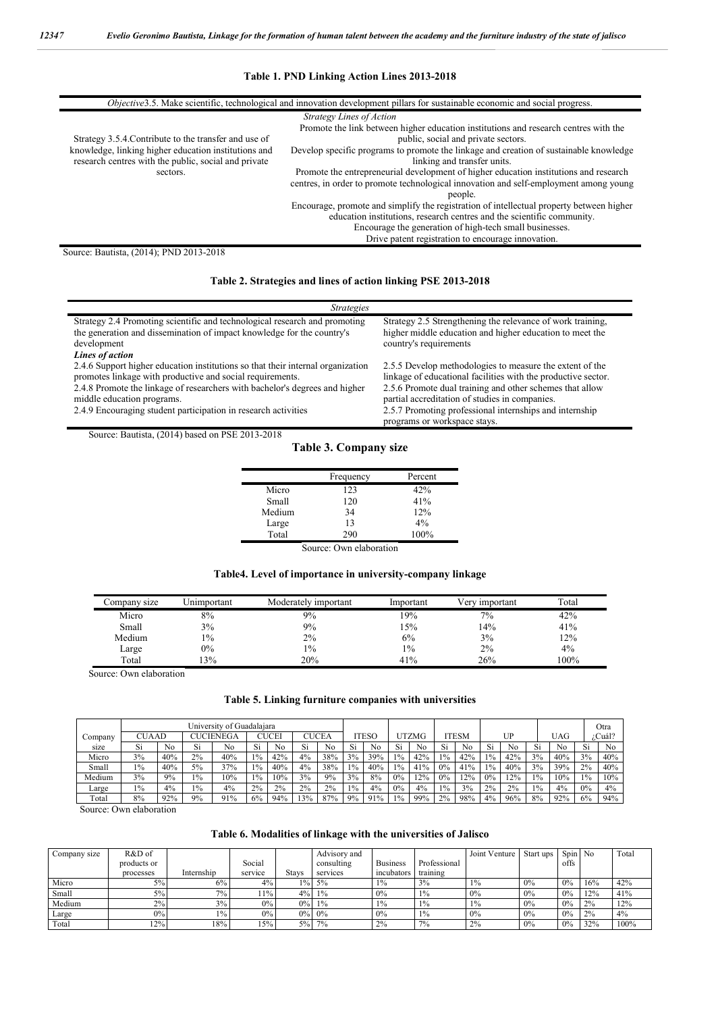### **Table 1. PND Linking Action Lines 2013-2018**

| <i>Objective</i> 3.5. Make scientific, technological and innovation development pillars for sustainable economic and social progress.<br><b>Strategy Lines of Action</b><br>Promote the link between higher education institutions and research centres with the<br>Strategy 3.5.4. Contribute to the transfer and use of<br>public, social and private sectors.<br>knowledge, linking higher education institutions and<br>Develop specific programs to promote the linkage and creation of sustainable knowledge<br>research centres with the public, social and private<br>linking and transfer units.<br>Promote the entrepreneurial development of higher education institutions and research<br>sectors.<br>centres, in order to promote technological innovation and self-employment among young<br>people.<br>Encourage, promote and simplify the registration of intellectual property between higher<br>education institutions, research centres and the scientific community.<br>Encourage the generation of high-tech small businesses. |  |  |  |  |  |  |  |  |
|-----------------------------------------------------------------------------------------------------------------------------------------------------------------------------------------------------------------------------------------------------------------------------------------------------------------------------------------------------------------------------------------------------------------------------------------------------------------------------------------------------------------------------------------------------------------------------------------------------------------------------------------------------------------------------------------------------------------------------------------------------------------------------------------------------------------------------------------------------------------------------------------------------------------------------------------------------------------------------------------------------------------------------------------------------|--|--|--|--|--|--|--|--|
| Drive patent registration to encourage innovation.                                                                                                                                                                                                                                                                                                                                                                                                                                                                                                                                                                                                                                                                                                                                                                                                                                                                                                                                                                                                  |  |  |  |  |  |  |  |  |

Source: Bautista, (2014); PND 2013-2018

## **Table 2. Strategies and lines of action linking PSE 2013-2018**

| <i>Strategies</i>                                                                                                                                                                                                                                                                                                           |                                                                                                                                                                                                                                                                                                                                    |
|-----------------------------------------------------------------------------------------------------------------------------------------------------------------------------------------------------------------------------------------------------------------------------------------------------------------------------|------------------------------------------------------------------------------------------------------------------------------------------------------------------------------------------------------------------------------------------------------------------------------------------------------------------------------------|
| Strategy 2.4 Promoting scientific and technological research and promoting<br>the generation and dissemination of impact knowledge for the country's<br>development<br>Lines of action                                                                                                                                      | Strategy 2.5 Strengthening the relevance of work training,<br>higher middle education and higher education to meet the<br>country's requirements                                                                                                                                                                                   |
| 2.4.6 Support higher education institutions so that their internal organization<br>promotes linkage with productive and social requirements.<br>2.4.8 Promote the linkage of researchers with bachelor's degrees and higher<br>middle education programs.<br>2.4.9 Encouraging student participation in research activities | 2.5.5 Develop methodologies to measure the extent of the<br>linkage of educational facilities with the productive sector.<br>2.5.6 Promote dual training and other schemes that allow<br>partial accreditation of studies in companies.<br>2.5.7 Promoting professional internships and internship<br>programs or workspace stays. |

Source: Bautista, (2014) based on PSE 2013-2018

### **Table 3. Company size**

|        | Frequency          | Percent |
|--------|--------------------|---------|
| Micro  | 123                | 42%     |
| Small  | 120                | 41%     |
| Medium | 34                 | 12%     |
| Large  | 13                 | $4\%$   |
| Total  | 290                | 100%    |
| $\sim$ | $1 \quad 1$<br>. . |         |

Source: Own elaboration

# **Table4. Level of importance in university-company linkage**

| Company size | Unimportant | Moderately important | Important | Verv important | Total |
|--------------|-------------|----------------------|-----------|----------------|-------|
| Micro        | 8%          | 9%                   | 19%       | $7\%$          | 42%   |
| Small        | 3%          | 9%                   | 15%       | 14%            | 41%   |
| Medium       | 1%          | 2%                   | 6%        | 3%             | 12%   |
| Large        | $0\%$       | $1\%$                | $1\%$     | 2%             | $4\%$ |
| Total        | 3%          | 20%                  | 41%       | 26%            | 100%  |

Source: Own elaboration

## **Table 5. Linking furniture companies with universities**

|         | University of Guadalaiara |     |       |                  |       |       |     |       |       |      |       |       |       |              |       |     |      |            | Otra  |        |
|---------|---------------------------|-----|-------|------------------|-------|-------|-----|-------|-------|------|-------|-------|-------|--------------|-------|-----|------|------------|-------|--------|
| Company | CUAAD                     |     |       | <b>CUCIENEGA</b> |       | CUCEI |     | CUCEA |       | TESO |       | UTZMG |       | <b>ITESM</b> |       | UP  |      | <b>UAG</b> |       | ¿Cuál? |
| size    | Si                        | No  | Si    | Nο               | Si    | No    | Si  | No    | Si    | No   | Si    | No    | Si    | No           | Si    | No  | Si   | No         | Si    | No     |
| Micro   | 3%                        | 40% | 2%    | 40%              | $1\%$ | 42%   | 4%  | 38%   | 3%    | 39%  | $1\%$ | 42%   | $1\%$ | 42%          | $1\%$ | 42% | 3%   | 40%        | 3%    | 40%    |
| Small   | 1%                        | 40% | 5%    | 37%              | $1\%$ | 40%   | 4%  | 38%   | $1\%$ | 40%  | 1%    | 41%   | 0%    | 41%          | $1\%$ | 40% | 3%   | 39%        | 2%    | 40%    |
| Medium  | 3%                        | 9%  | $1\%$ | 10%              | $1\%$ | 10%   | 3%  | 9%    | 3%    | 8%   | 0%    | 12%   | 0%    | 12%          | $0\%$ | 12% | 10/0 | 10%        | $1\%$ | 10%    |
| Large   | 1%                        | 4%  | $1\%$ | 4%               | 2%    | 2%    | 2%  | 2%    | $1\%$ | 4%   | 0%    | 4%    | $1\%$ | 3%           | 2%    | 2%  | 10/6 | 4%         | 0%    | 4%     |
| Total   | 8%                        | 92% | 9%    | 91%              | 6%    | 94%   | 13% | 87%   | 9%    | 91%  | $1\%$ | 99%   | 2%    | 98%          | 4%    | 96% | 8%   | 92%        | 6%    | 94%    |

Source: Own elaboration

#### **Table 6. Modalities of linkage with the universities of Jalisco**

| Company size | R&D of      |            |         |       | Advisory and |                 |              | Joint Venture | Start ups | Spin No |     | Total |
|--------------|-------------|------------|---------|-------|--------------|-----------------|--------------|---------------|-----------|---------|-----|-------|
|              | products or |            | Social  |       | consulting   | <b>Business</b> | Professional |               |           | offs    |     |       |
|              | processes   | Internship | service | Stavs | services     | incubators      | training     |               |           |         |     |       |
| Micro        | 5%          | $6\%$      | 4%      | $1\%$ | 5%           | $1\%$           | 3%           | $1\%$         | 0%        | 0%      | 16% | 42%   |
| Small        | $5\%$       | $7\%$      | 11%     | $4\%$ | 1%           | 0%              | $1\%$        | 0%            | $0\%$     | 0%      | 12% | 41%   |
| Medium       | 2%          | 3%         | $0\%$   | $0\%$ | $1\%$        | $1\%$           | $1\%$        | $1\%$         | 0%        | 0%      | 2%  | 12%   |
| Large        | $0\%$ 1     | $1\%$      | $0\%$   |       | $0\%$ 0%     | 0%              | $1\%$        | $0\%$         | 0%        | 0%      | 2%  | 4%    |
| Total        | 12%         | 18%        | 15%     | 5%    | $7\%$        | 2%              | $7\%$        | 2%            | $0\%$     | 0%      | 32% | 100%  |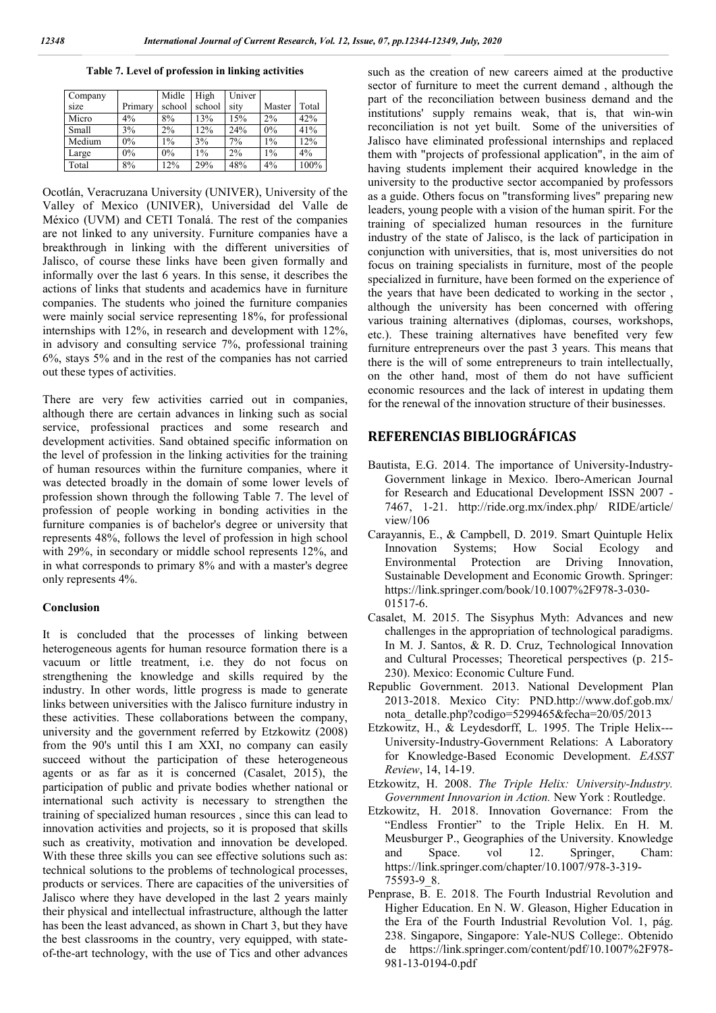**Table 7. Level of profession in linking activities**

| Company |         | Midle  | High   | Univer |        |       |
|---------|---------|--------|--------|--------|--------|-------|
| size    | Primary | school | school | sity   | Master | Total |
| Micro   | $4\%$   | 8%     | 13%    | 15%    | $2\%$  | 42%   |
| Small   | 3%      | $2\%$  | 12%    | 24%    | 0%     | 41%   |
| Medium  | 0%      | $1\%$  | 3%     | 7%     | $1\%$  | 12%   |
| Large   | $0\%$   | $0\%$  | $1\%$  | 2%     | $1\%$  | 4%    |
| Total   | 8%      | 12%    | 29%    | 48%    | 4%     | 100%  |

Ocotlán, Veracruzana University (UNIVER), University of the Valley of Mexico (UNIVER), Universidad del Valle de México (UVM) and CETI Tonalá. The rest of the companies are not linked to any university. Furniture companies have a breakthrough in linking with the different universities of Jalisco, of course these links have been given formally and informally over the last 6 years. In this sense, it describes the actions of links that students and academics have in furniture companies. The students who joined the furniture companies were mainly social service representing 18%, for professional internships with 12%, in research and development with 12%, in advisory and consulting service 7%, professional training 6%, stays 5% and in the rest of the companies has not carried out these types of activities.

There are very few activities carried out in companies, although there are certain advances in linking such as social service, professional practices and some research and development activities. Sand obtained specific information on the level of profession in the linking activities for the training of human resources within the furniture companies, where it was detected broadly in the domain of some lower levels of profession shown through the following Table 7. The level of profession of people working in bonding activities in the furniture companies is of bachelor's degree or university that represents 48%, follows the level of profession in high school with 29%, in secondary or middle school represents 12%, and in what corresponds to primary 8% and with a master's degree only represents 4%.

#### **Conclusion**

It is concluded that the processes of linking between heterogeneous agents for human resource formation there is a vacuum or little treatment, i.e. they do not focus on strengthening the knowledge and skills required by the industry. In other words, little progress is made to generate links between universities with the Jalisco furniture industry in these activities. These collaborations between the company, university and the government referred by Etzkowitz (2008) from the 90's until this I am XXI, no company can easily succeed without the participation of these heterogeneous agents or as far as it is concerned (Casalet, 2015), the participation of public and private bodies whether national or international such activity is necessary to strengthen the training of specialized human resources , since this can lead to innovation activities and projects, so it is proposed that skills such as creativity, motivation and innovation be developed. With these three skills you can see effective solutions such as: technical solutions to the problems of technological processes, products or services. There are capacities of the universities of Jalisco where they have developed in the last 2 years mainly their physical and intellectual infrastructure, although the latter has been the least advanced, as shown in Chart 3, but they have the best classrooms in the country, very equipped, with stateof-the-art technology, with the use of Tics and other advances such as the creation of new careers aimed at the productive sector of furniture to meet the current demand , although the part of the reconciliation between business demand and the institutions' supply remains weak, that is, that win-win reconciliation is not yet built. Some of the universities of Jalisco have eliminated professional internships and replaced them with "projects of professional application", in the aim of having students implement their acquired knowledge in the university to the productive sector accompanied by professors as a guide. Others focus on "transforming lives" preparing new leaders, young people with a vision of the human spirit. For the training of specialized human resources in the furniture industry of the state of Jalisco, is the lack of participation in conjunction with universities, that is, most universities do not focus on training specialists in furniture, most of the people specialized in furniture, have been formed on the experience of the years that have been dedicated to working in the sector , although the university has been concerned with offering various training alternatives (diplomas, courses, workshops, etc.). These training alternatives have benefited very few furniture entrepreneurs over the past 3 years. This means that there is the will of some entrepreneurs to train intellectually, on the other hand, most of them do not have sufficient economic resources and the lack of interest in updating them for the renewal of the innovation structure of their businesses.

# **REFERENCIAS BIBLIOGRÁFICAS**

- Bautista, E.G. 2014. The importance of University-Industry-Government linkage in Mexico. Ibero-American Journal for Research and Educational Development ISSN 2007 - 7467, 1-21. http://ride.org.mx/index.php/ RIDE/article/ view/106
- Carayannis, E., & Campbell, D. 2019. Smart Quintuple Helix Innovation Systems; How Social Environmental Protection are Driving Innovation, Sustainable Development and Economic Growth. Springer: https://link.springer.com/book/10.1007%2F978-3-030- 01517-6.
- Casalet, M. 2015. The Sisyphus Myth: Advances and new challenges in the appropriation of technological paradigms. In M. J. Santos, & R. D. Cruz, Technological Innovation and Cultural Processes; Theoretical perspectives (p. 215- 230). Mexico: Economic Culture Fund.
- Republic Government. 2013. National Development Plan 2013-2018. Mexico City: PND.http://www.dof.gob.mx/ nota\_ detalle.php?codigo=5299465&fecha=20/05/2013
- Etzkowitz, H., & Leydesdorff, L. 1995. The Triple Helix--- University-Industry-Government Relations: A Laboratory for Knowledge-Based Economic Development. *EASST Review*, 14, 14-19.
- Etzkowitz, H. 2008. *The Triple Helix: University-Industry. Government Innovarion in Action.* New York : Routledge.
- Etzkowitz, H. 2018. Innovation Governance: From the "Endless Frontier" to the Triple Helix. En H. M. Meusburger P., Geographies of the University. Knowledge and Space. vol 12. Springer, Cham: https://link.springer.com/chapter/10.1007/978-3-319- 75593-9\_8.
- Penprase, B. E. 2018. The Fourth Industrial Revolution and Higher Education. En N. W. Gleason, Higher Education in the Era of the Fourth Industrial Revolution Vol. 1, pág. 238. Singapore, Singapore: Yale-NUS College:. Obtenido de https://link.springer.com/content/pdf/10.1007%2F978- 981-13-0194-0.pdf